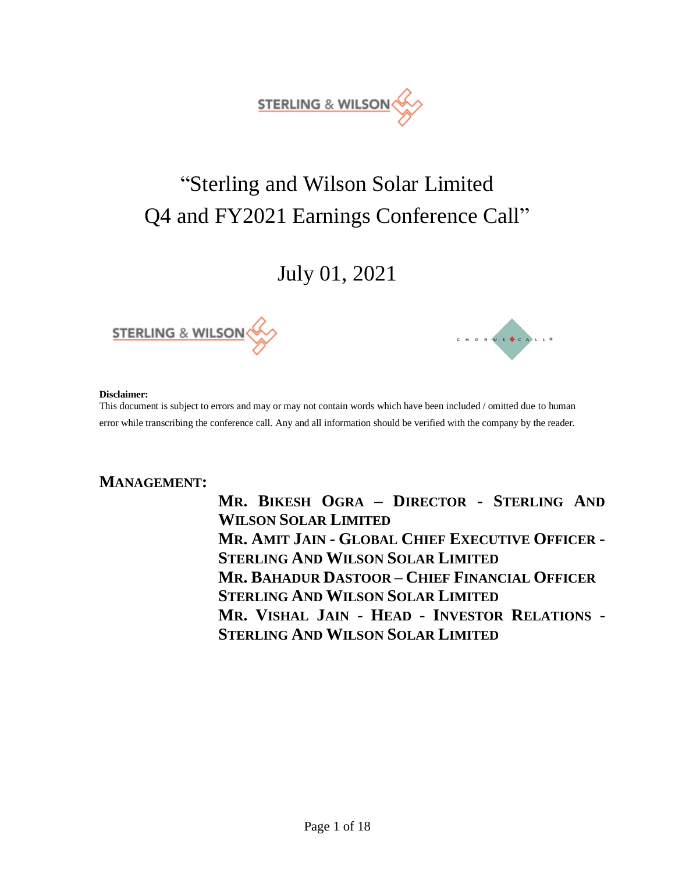

# "Sterling and Wilson Solar Limited Q4 and FY2021 Earnings Conference Call"

July 01, 2021





#### **Disclaimer:**

This document is subject to errors and may or may not contain words which have been included / omitted due to human error while transcribing the conference call. Any and all information should be verified with the company by the reader.

# **MANAGEMENT:**

**MR. BIKESH OGRA – DIRECTOR - STERLING AND WILSON SOLAR LIMITED MR. AMIT JAIN - GLOBAL CHIEF EXECUTIVE OFFICER - STERLING AND WILSON SOLAR LIMITED MR. BAHADUR DASTOOR – CHIEF FINANCIAL OFFICER STERLING AND WILSON SOLAR LIMITED MR. VISHAL JAIN - HEAD - INVESTOR RELATIONS - STERLING AND WILSON SOLAR LIMITED**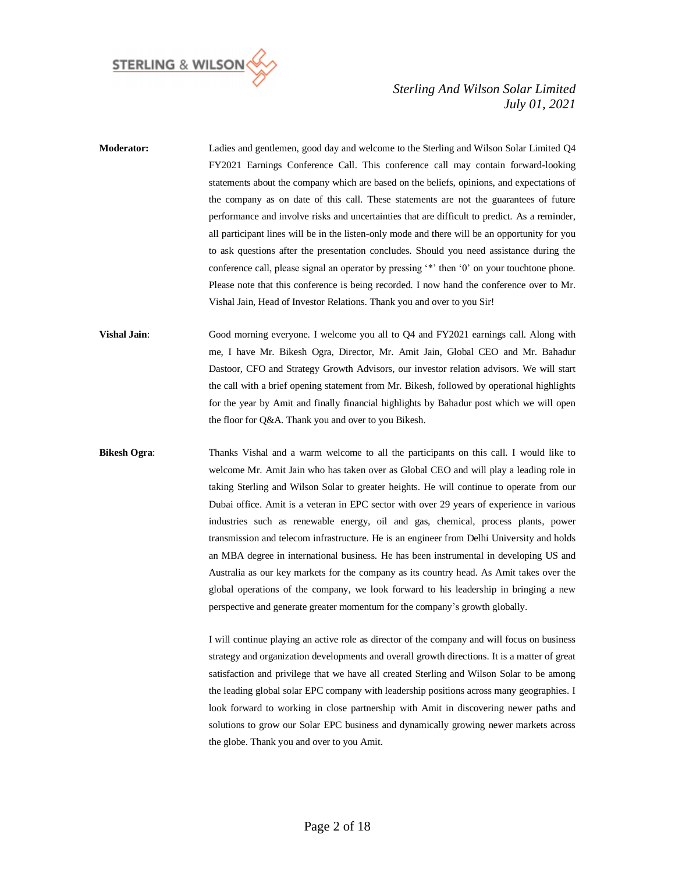

- **Moderator:** Ladies and gentlemen, good day and welcome to the Sterling and Wilson Solar Limited Q4 FY2021 Earnings Conference Call. This conference call may contain forward-looking statements about the company which are based on the beliefs, opinions, and expectations of the company as on date of this call. These statements are not the guarantees of future performance and involve risks and uncertainties that are difficult to predict. As a reminder, all participant lines will be in the listen-only mode and there will be an opportunity for you to ask questions after the presentation concludes. Should you need assistance during the conference call, please signal an operator by pressing '\*' then '0' on your touchtone phone. Please note that this conference is being recorded. I now hand the conference over to Mr. Vishal Jain, Head of Investor Relations. Thank you and over to you Sir!
- **Vishal Jain**: Good morning everyone. I welcome you all to Q4 and FY2021 earnings call. Along with me, I have Mr. Bikesh Ogra, Director, Mr. Amit Jain, Global CEO and Mr. Bahadur Dastoor, CFO and Strategy Growth Advisors, our investor relation advisors. We will start the call with a brief opening statement from Mr. Bikesh, followed by operational highlights for the year by Amit and finally financial highlights by Bahadur post which we will open the floor for Q&A. Thank you and over to you Bikesh.
- **Bikesh Ogra**: Thanks Vishal and a warm welcome to all the participants on this call. I would like to welcome Mr. Amit Jain who has taken over as Global CEO and will play a leading role in taking Sterling and Wilson Solar to greater heights. He will continue to operate from our Dubai office. Amit is a veteran in EPC sector with over 29 years of experience in various industries such as renewable energy, oil and gas, chemical, process plants, power transmission and telecom infrastructure. He is an engineer from Delhi University and holds an MBA degree in international business. He has been instrumental in developing US and Australia as our key markets for the company as its country head. As Amit takes over the global operations of the company, we look forward to his leadership in bringing a new perspective and generate greater momentum for the company's growth globally.

I will continue playing an active role as director of the company and will focus on business strategy and organization developments and overall growth directions. It is a matter of great satisfaction and privilege that we have all created Sterling and Wilson Solar to be among the leading global solar EPC company with leadership positions across many geographies. I look forward to working in close partnership with Amit in discovering newer paths and solutions to grow our Solar EPC business and dynamically growing newer markets across the globe. Thank you and over to you Amit.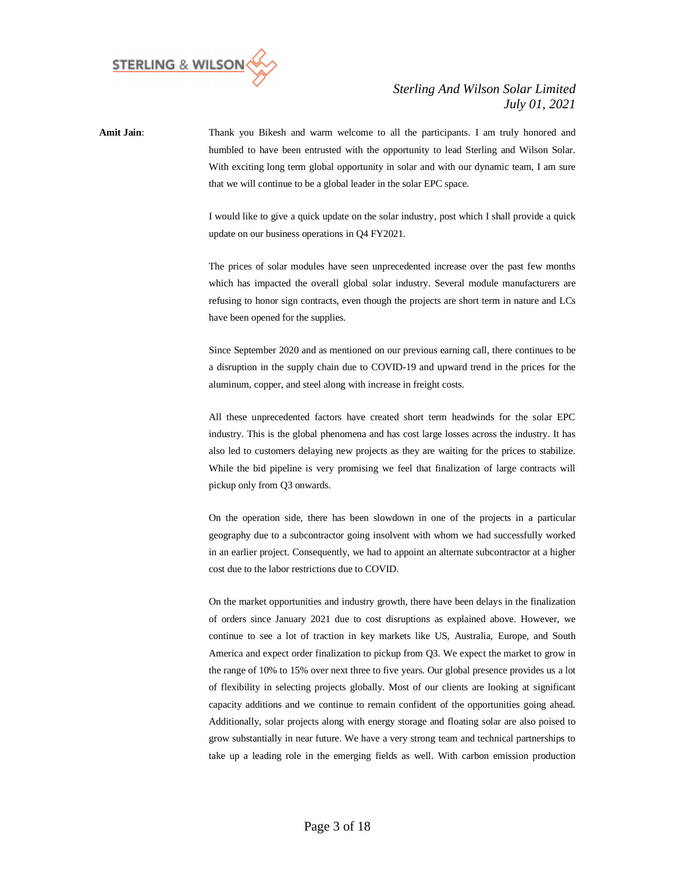

**Amit Jain**: Thank you Bikesh and warm welcome to all the participants. I am truly honored and humbled to have been entrusted with the opportunity to lead Sterling and Wilson Solar. With exciting long term global opportunity in solar and with our dynamic team, I am sure that we will continue to be a global leader in the solar EPC space.

> I would like to give a quick update on the solar industry, post which I shall provide a quick update on our business operations in Q4 FY2021.

> The prices of solar modules have seen unprecedented increase over the past few months which has impacted the overall global solar industry. Several module manufacturers are refusing to honor sign contracts, even though the projects are short term in nature and LCs have been opened for the supplies.

> Since September 2020 and as mentioned on our previous earning call, there continues to be a disruption in the supply chain due to COVID-19 and upward trend in the prices for the aluminum, copper, and steel along with increase in freight costs.

> All these unprecedented factors have created short term headwinds for the solar EPC industry. This is the global phenomena and has cost large losses across the industry. It has also led to customers delaying new projects as they are waiting for the prices to stabilize. While the bid pipeline is very promising we feel that finalization of large contracts will pickup only from Q3 onwards.

> On the operation side, there has been slowdown in one of the projects in a particular geography due to a subcontractor going insolvent with whom we had successfully worked in an earlier project. Consequently, we had to appoint an alternate subcontractor at a higher cost due to the labor restrictions due to COVID.

> On the market opportunities and industry growth, there have been delays in the finalization of orders since January 2021 due to cost disruptions as explained above. However, we continue to see a lot of traction in key markets like US, Australia, Europe, and South America and expect order finalization to pickup from Q3. We expect the market to grow in the range of 10% to 15% over next three to five years. Our global presence provides us a lot of flexibility in selecting projects globally. Most of our clients are looking at significant capacity additions and we continue to remain confident of the opportunities going ahead. Additionally, solar projects along with energy storage and floating solar are also poised to grow substantially in near future. We have a very strong team and technical partnerships to take up a leading role in the emerging fields as well. With carbon emission production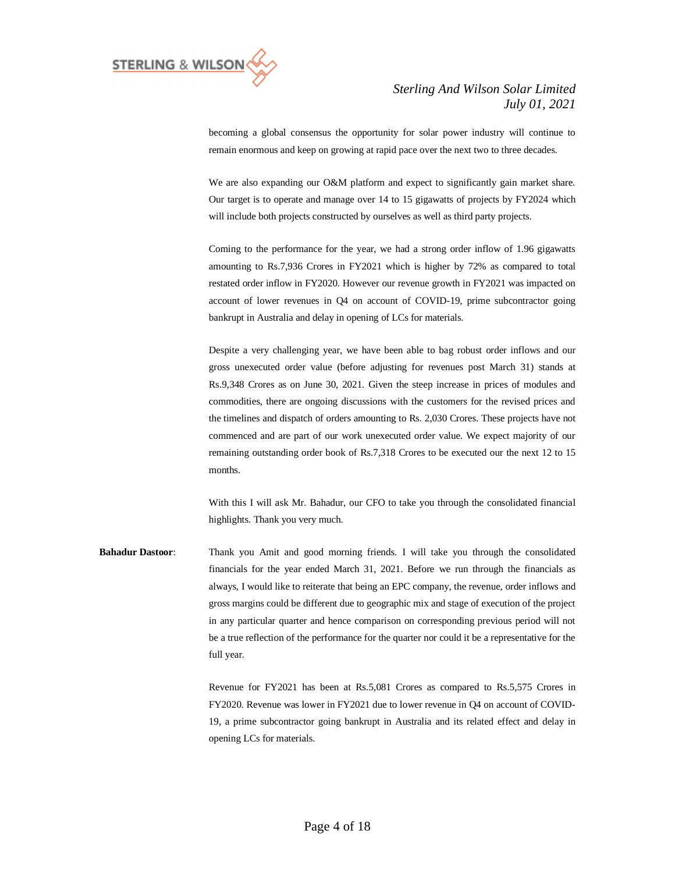

becoming a global consensus the opportunity for solar power industry will continue to remain enormous and keep on growing at rapid pace over the next two to three decades.

We are also expanding our O&M platform and expect to significantly gain market share. Our target is to operate and manage over 14 to 15 gigawatts of projects by FY2024 which will include both projects constructed by ourselves as well as third party projects.

Coming to the performance for the year, we had a strong order inflow of 1.96 gigawatts amounting to Rs.7,936 Crores in FY2021 which is higher by 72% as compared to total restated order inflow in FY2020. However our revenue growth in FY2021 was impacted on account of lower revenues in Q4 on account of COVID-19, prime subcontractor going bankrupt in Australia and delay in opening of LCs for materials.

Despite a very challenging year, we have been able to bag robust order inflows and our gross unexecuted order value (before adjusting for revenues post March 31) stands at Rs.9,348 Crores as on June 30, 2021. Given the steep increase in prices of modules and commodities, there are ongoing discussions with the customers for the revised prices and the timelines and dispatch of orders amounting to Rs. 2,030 Crores. These projects have not commenced and are part of our work unexecuted order value. We expect majority of our remaining outstanding order book of Rs.7,318 Crores to be executed our the next 12 to 15 months.

With this I will ask Mr. Bahadur, our CFO to take you through the consolidated financial highlights. Thank you very much.

**Bahadur Dastoor**: Thank you Amit and good morning friends. I will take you through the consolidated financials for the year ended March 31, 2021. Before we run through the financials as always, I would like to reiterate that being an EPC company, the revenue, order inflows and gross margins could be different due to geographic mix and stage of execution of the project in any particular quarter and hence comparison on corresponding previous period will not be a true reflection of the performance for the quarter nor could it be a representative for the full year.

> Revenue for FY2021 has been at Rs.5,081 Crores as compared to Rs.5,575 Crores in FY2020. Revenue was lower in FY2021 due to lower revenue in Q4 on account of COVID-19, a prime subcontractor going bankrupt in Australia and its related effect and delay in opening LCs for materials.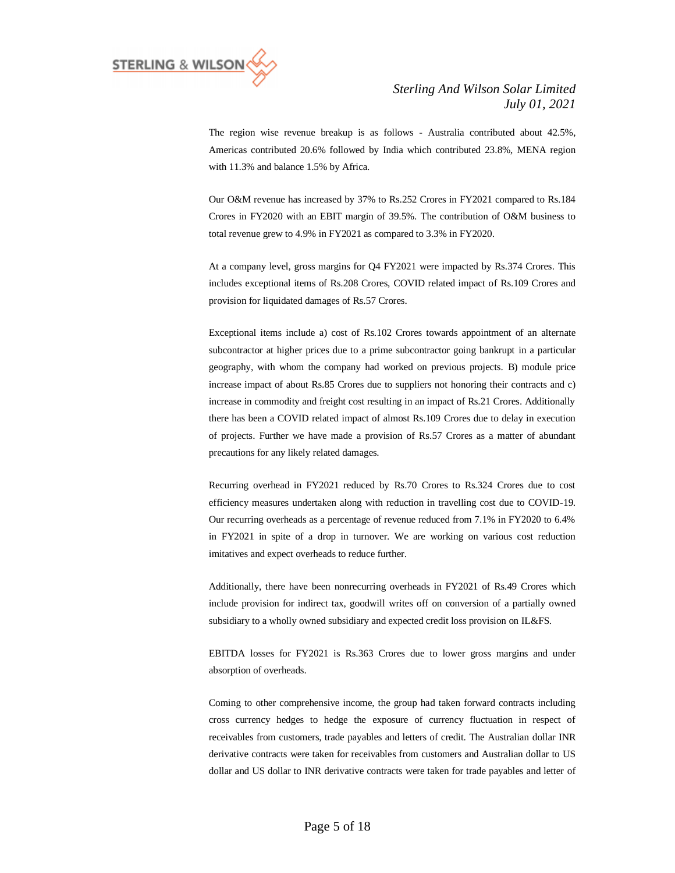

The region wise revenue breakup is as follows - Australia contributed about 42.5%, Americas contributed 20.6% followed by India which contributed 23.8%, MENA region with 11.3% and balance 1.5% by Africa.

Our O&M revenue has increased by 37% to Rs.252 Crores in FY2021 compared to Rs.184 Crores in FY2020 with an EBIT margin of 39.5%. The contribution of O&M business to total revenue grew to 4.9% in FY2021 as compared to 3.3% in FY2020.

At a company level, gross margins for Q4 FY2021 were impacted by Rs.374 Crores. This includes exceptional items of Rs.208 Crores, COVID related impact of Rs.109 Crores and provision for liquidated damages of Rs.57 Crores.

Exceptional items include a) cost of Rs.102 Crores towards appointment of an alternate subcontractor at higher prices due to a prime subcontractor going bankrupt in a particular geography, with whom the company had worked on previous projects. B) module price increase impact of about Rs.85 Crores due to suppliers not honoring their contracts and c) increase in commodity and freight cost resulting in an impact of Rs.21 Crores. Additionally there has been a COVID related impact of almost Rs.109 Crores due to delay in execution of projects. Further we have made a provision of Rs.57 Crores as a matter of abundant precautions for any likely related damages.

Recurring overhead in FY2021 reduced by Rs.70 Crores to Rs.324 Crores due to cost efficiency measures undertaken along with reduction in travelling cost due to COVID-19. Our recurring overheads as a percentage of revenue reduced from 7.1% in FY2020 to 6.4% in FY2021 in spite of a drop in turnover. We are working on various cost reduction imitatives and expect overheads to reduce further.

Additionally, there have been nonrecurring overheads in FY2021 of Rs.49 Crores which include provision for indirect tax, goodwill writes off on conversion of a partially owned subsidiary to a wholly owned subsidiary and expected credit loss provision on IL&FS.

EBITDA losses for FY2021 is Rs.363 Crores due to lower gross margins and under absorption of overheads.

Coming to other comprehensive income, the group had taken forward contracts including cross currency hedges to hedge the exposure of currency fluctuation in respect of receivables from customers, trade payables and letters of credit. The Australian dollar INR derivative contracts were taken for receivables from customers and Australian dollar to US dollar and US dollar to INR derivative contracts were taken for trade payables and letter of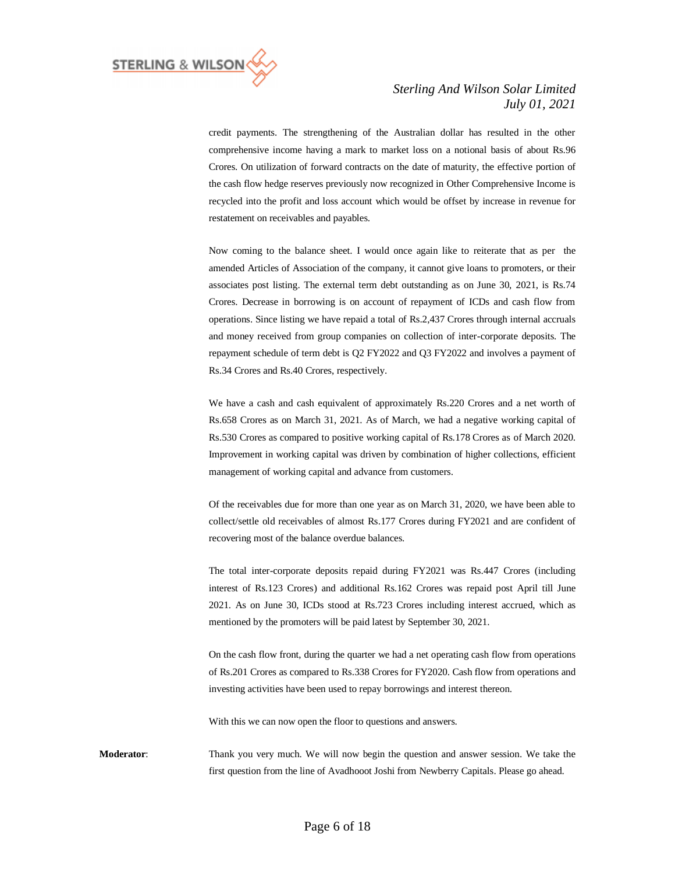

credit payments. The strengthening of the Australian dollar has resulted in the other comprehensive income having a mark to market loss on a notional basis of about Rs.96 Crores. On utilization of forward contracts on the date of maturity, the effective portion of the cash flow hedge reserves previously now recognized in Other Comprehensive Income is recycled into the profit and loss account which would be offset by increase in revenue for restatement on receivables and payables.

Now coming to the balance sheet. I would once again like to reiterate that as per the amended Articles of Association of the company, it cannot give loans to promoters, or their associates post listing. The external term debt outstanding as on June 30, 2021, is Rs.74 Crores. Decrease in borrowing is on account of repayment of ICDs and cash flow from operations. Since listing we have repaid a total of Rs.2,437 Crores through internal accruals and money received from group companies on collection of inter-corporate deposits. The repayment schedule of term debt is Q2 FY2022 and Q3 FY2022 and involves a payment of Rs.34 Crores and Rs.40 Crores, respectively.

We have a cash and cash equivalent of approximately Rs.220 Crores and a net worth of Rs.658 Crores as on March 31, 2021. As of March, we had a negative working capital of Rs.530 Crores as compared to positive working capital of Rs.178 Crores as of March 2020. Improvement in working capital was driven by combination of higher collections, efficient management of working capital and advance from customers.

Of the receivables due for more than one year as on March 31, 2020, we have been able to collect/settle old receivables of almost Rs.177 Crores during FY2021 and are confident of recovering most of the balance overdue balances.

The total inter-corporate deposits repaid during FY2021 was Rs.447 Crores (including interest of Rs.123 Crores) and additional Rs.162 Crores was repaid post April till June 2021. As on June 30, ICDs stood at Rs.723 Crores including interest accrued, which as mentioned by the promoters will be paid latest by September 30, 2021.

On the cash flow front, during the quarter we had a net operating cash flow from operations of Rs.201 Crores as compared to Rs.338 Crores for FY2020. Cash flow from operations and investing activities have been used to repay borrowings and interest thereon.

With this we can now open the floor to questions and answers.

**Moderator**: Thank you very much. We will now begin the question and answer session. We take the first question from the line of Avadhooot Joshi from Newberry Capitals. Please go ahead.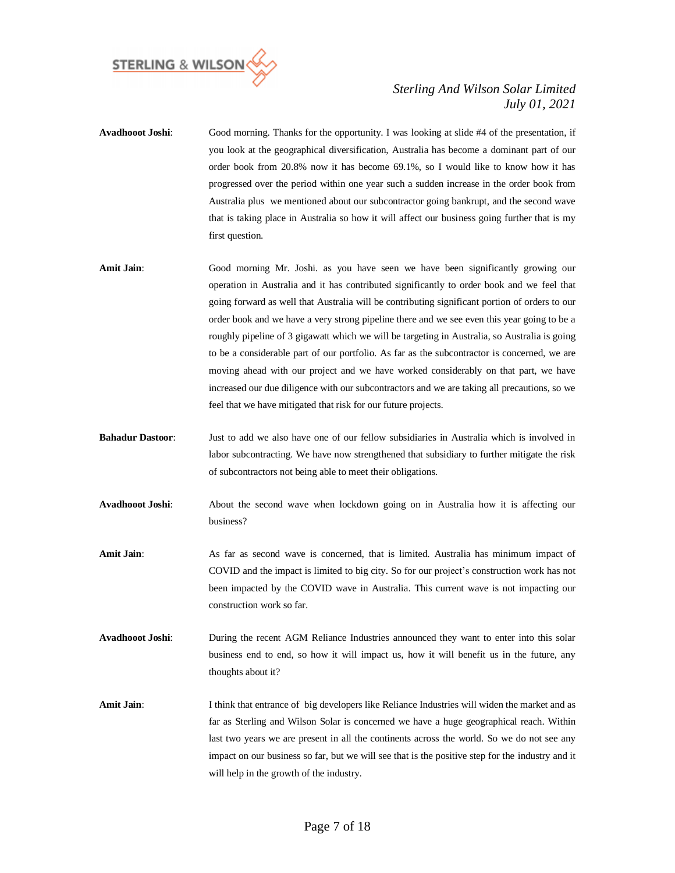

- **Avadhooot Joshi**: Good morning. Thanks for the opportunity. I was looking at slide #4 of the presentation, if you look at the geographical diversification, Australia has become a dominant part of our order book from 20.8% now it has become 69.1%, so I would like to know how it has progressed over the period within one year such a sudden increase in the order book from Australia plus we mentioned about our subcontractor going bankrupt, and the second wave that is taking place in Australia so how it will affect our business going further that is my first question.
- Amit Jain: Good morning Mr. Joshi. as you have seen we have been significantly growing our operation in Australia and it has contributed significantly to order book and we feel that going forward as well that Australia will be contributing significant portion of orders to our order book and we have a very strong pipeline there and we see even this year going to be a roughly pipeline of 3 gigawatt which we will be targeting in Australia, so Australia is going to be a considerable part of our portfolio. As far as the subcontractor is concerned, we are moving ahead with our project and we have worked considerably on that part, we have increased our due diligence with our subcontractors and we are taking all precautions, so we feel that we have mitigated that risk for our future projects.
- **Bahadur Dastoor**: Just to add we also have one of our fellow subsidiaries in Australia which is involved in labor subcontracting. We have now strengthened that subsidiary to further mitigate the risk of subcontractors not being able to meet their obligations.
- **Avadhooot Joshi**: About the second wave when lockdown going on in Australia how it is affecting our business?
- **Amit Jain**: As far as second wave is concerned, that is limited. Australia has minimum impact of COVID and the impact is limited to big city. So for our project's construction work has not been impacted by the COVID wave in Australia. This current wave is not impacting our construction work so far.
- **Avadhooot Joshi**: During the recent AGM Reliance Industries announced they want to enter into this solar business end to end, so how it will impact us, how it will benefit us in the future, any thoughts about it?
- **Amit Jain**: I think that entrance of big developers like Reliance Industries will widen the market and as far as Sterling and Wilson Solar is concerned we have a huge geographical reach. Within last two years we are present in all the continents across the world. So we do not see any impact on our business so far, but we will see that is the positive step for the industry and it will help in the growth of the industry.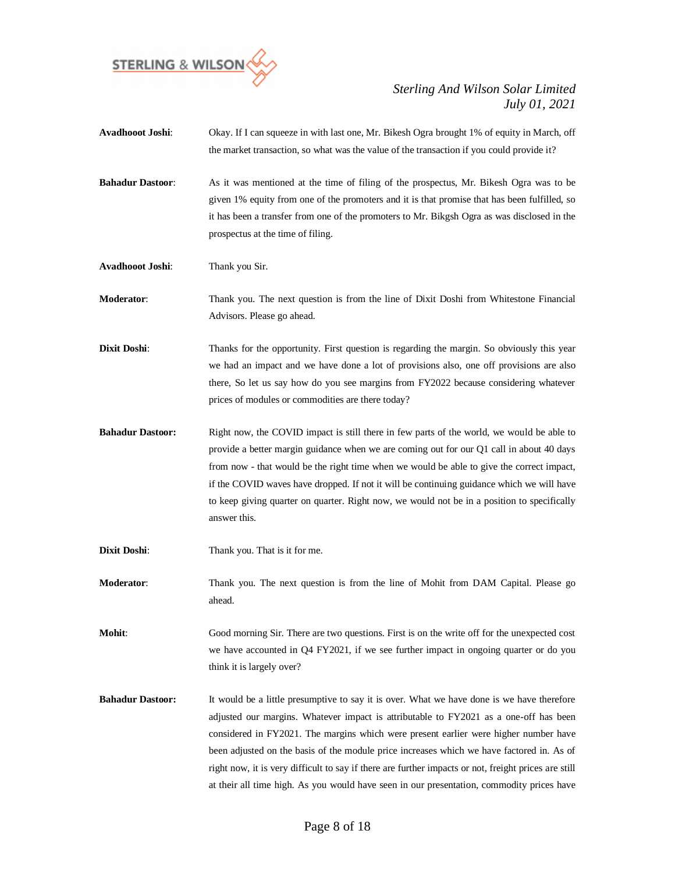

| Avadhooot Joshi:        | Okay. If I can squeeze in with last one, Mr. Bikesh Ogra brought 1% of equity in March, off<br>the market transaction, so what was the value of the transaction if you could provide it?                                                                                                                                                                                                                                                                                                                                                                                      |
|-------------------------|-------------------------------------------------------------------------------------------------------------------------------------------------------------------------------------------------------------------------------------------------------------------------------------------------------------------------------------------------------------------------------------------------------------------------------------------------------------------------------------------------------------------------------------------------------------------------------|
| <b>Bahadur Dastoor:</b> | As it was mentioned at the time of filing of the prospectus, Mr. Bikesh Ogra was to be<br>given 1% equity from one of the promoters and it is that promise that has been fulfilled, so<br>it has been a transfer from one of the promoters to Mr. Bikgsh Ogra as was disclosed in the<br>prospectus at the time of filing.                                                                                                                                                                                                                                                    |
| Avadhooot Joshi:        | Thank you Sir.                                                                                                                                                                                                                                                                                                                                                                                                                                                                                                                                                                |
| Moderator:              | Thank you. The next question is from the line of Dixit Doshi from Whitestone Financial<br>Advisors. Please go ahead.                                                                                                                                                                                                                                                                                                                                                                                                                                                          |
| <b>Dixit Doshi:</b>     | Thanks for the opportunity. First question is regarding the margin. So obviously this year<br>we had an impact and we have done a lot of provisions also, one off provisions are also<br>there, So let us say how do you see margins from FY2022 because considering whatever<br>prices of modules or commodities are there today?                                                                                                                                                                                                                                            |
| <b>Bahadur Dastoor:</b> | Right now, the COVID impact is still there in few parts of the world, we would be able to<br>provide a better margin guidance when we are coming out for our Q1 call in about 40 days<br>from now - that would be the right time when we would be able to give the correct impact,<br>if the COVID waves have dropped. If not it will be continuing guidance which we will have<br>to keep giving quarter on quarter. Right now, we would not be in a position to specifically<br>answer this.                                                                                |
| Dixit Doshi:            | Thank you. That is it for me.                                                                                                                                                                                                                                                                                                                                                                                                                                                                                                                                                 |
| Moderator:              | Thank you. The next question is from the line of Mohit from DAM Capital. Please go<br>ahead.                                                                                                                                                                                                                                                                                                                                                                                                                                                                                  |
| Mohit:                  | Good morning Sir. There are two questions. First is on the write off for the unexpected cost<br>we have accounted in $Q4$ FY2021, if we see further impact in ongoing quarter or do you<br>think it is largely over?                                                                                                                                                                                                                                                                                                                                                          |
| <b>Bahadur Dastoor:</b> | It would be a little presumptive to say it is over. What we have done is we have therefore<br>adjusted our margins. Whatever impact is attributable to FY2021 as a one-off has been<br>considered in FY2021. The margins which were present earlier were higher number have<br>been adjusted on the basis of the module price increases which we have factored in. As of<br>right now, it is very difficult to say if there are further impacts or not, freight prices are still<br>at their all time high. As you would have seen in our presentation, commodity prices have |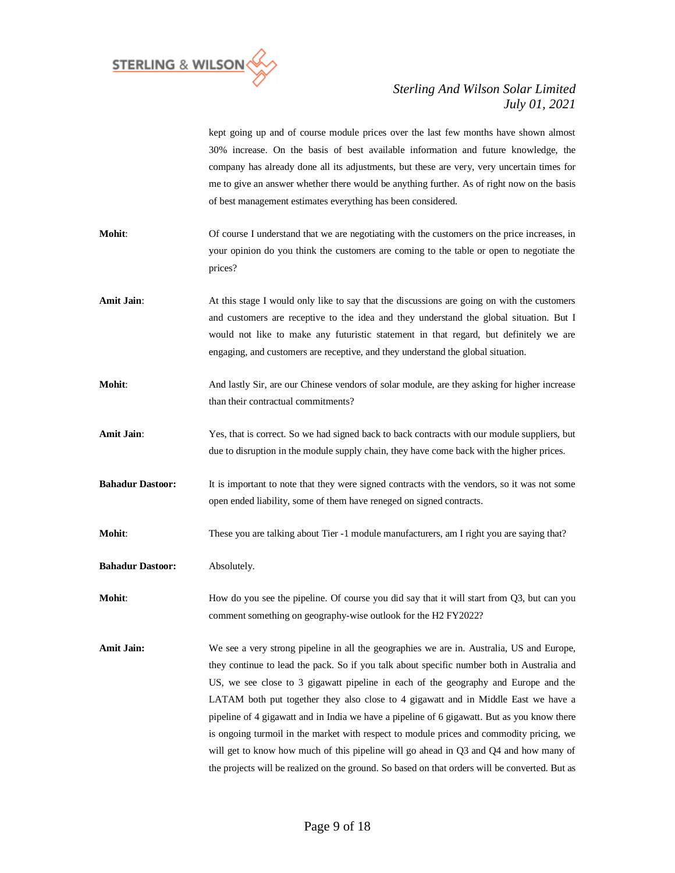

kept going up and of course module prices over the last few months have shown almost 30% increase. On the basis of best available information and future knowledge, the company has already done all its adjustments, but these are very, very uncertain times for me to give an answer whether there would be anything further. As of right now on the basis of best management estimates everything has been considered.

- **Mohit:** Of course I understand that we are negotiating with the customers on the price increases, in your opinion do you think the customers are coming to the table or open to negotiate the prices?
- **Amit Jain:** At this stage I would only like to say that the discussions are going on with the customers and customers are receptive to the idea and they understand the global situation. But I would not like to make any futuristic statement in that regard, but definitely we are engaging, and customers are receptive, and they understand the global situation.
- **Mohit:** And lastly Sir, are our Chinese vendors of solar module, are they asking for higher increase than their contractual commitments?
- Amit Jain: Yes, that is correct. So we had signed back to back contracts with our module suppliers, but due to disruption in the module supply chain, they have come back with the higher prices.
- **Bahadur Dastoor:** It is important to note that they were signed contracts with the vendors, so it was not some open ended liability, some of them have reneged on signed contracts.
- **Mohit:** These you are talking about Tier -1 module manufacturers, am I right you are saying that?
- **Bahadur Dastoor:** Absolutely.
- **Mohit:** How do you see the pipeline. Of course you did say that it will start from Q3, but can you comment something on geography-wise outlook for the H2 FY2022?
- **Amit Jain:** We see a very strong pipeline in all the geographies we are in. Australia, US and Europe, they continue to lead the pack. So if you talk about specific number both in Australia and US, we see close to 3 gigawatt pipeline in each of the geography and Europe and the LATAM both put together they also close to 4 gigawatt and in Middle East we have a pipeline of 4 gigawatt and in India we have a pipeline of 6 gigawatt. But as you know there is ongoing turmoil in the market with respect to module prices and commodity pricing, we will get to know how much of this pipeline will go ahead in Q3 and Q4 and how many of the projects will be realized on the ground. So based on that orders will be converted. But as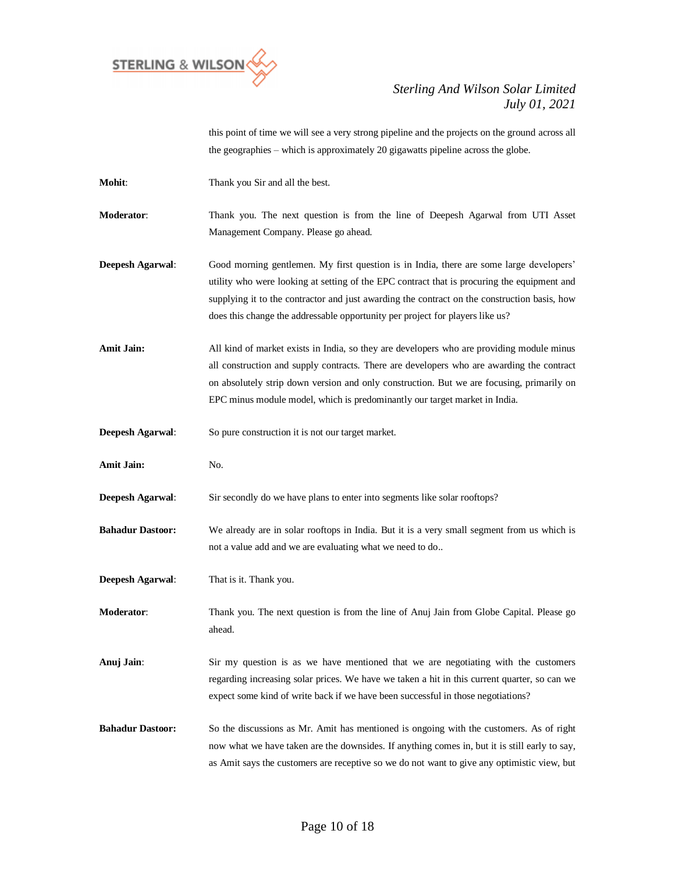

this point of time we will see a very strong pipeline and the projects on the ground across all the geographies – which is approximately 20 gigawatts pipeline across the globe.

| Mohit:                  | Thank you Sir and all the best.                                                                                                                                                                                                                                                                                                                                         |
|-------------------------|-------------------------------------------------------------------------------------------------------------------------------------------------------------------------------------------------------------------------------------------------------------------------------------------------------------------------------------------------------------------------|
| Moderator:              | Thank you. The next question is from the line of Deepesh Agarwal from UTI Asset<br>Management Company. Please go ahead.                                                                                                                                                                                                                                                 |
| <b>Deepesh Agarwal:</b> | Good morning gentlemen. My first question is in India, there are some large developers'<br>utility who were looking at setting of the EPC contract that is procuring the equipment and<br>supplying it to the contractor and just awarding the contract on the construction basis, how<br>does this change the addressable opportunity per project for players like us? |
| <b>Amit Jain:</b>       | All kind of market exists in India, so they are developers who are providing module minus<br>all construction and supply contracts. There are developers who are awarding the contract<br>on absolutely strip down version and only construction. But we are focusing, primarily on<br>EPC minus module model, which is predominantly our target market in India.       |
| Deepesh Agarwal:        | So pure construction it is not our target market.                                                                                                                                                                                                                                                                                                                       |
| <b>Amit Jain:</b>       | No.                                                                                                                                                                                                                                                                                                                                                                     |
| Deepesh Agarwal:        | Sir secondly do we have plans to enter into segments like solar rooftops?                                                                                                                                                                                                                                                                                               |
| <b>Bahadur Dastoor:</b> | We already are in solar rooftops in India. But it is a very small segment from us which is<br>not a value add and we are evaluating what we need to do                                                                                                                                                                                                                  |
| Deepesh Agarwal:        | That is it. Thank you.                                                                                                                                                                                                                                                                                                                                                  |
| Moderator:              | Thank you. The next question is from the line of Anuj Jain from Globe Capital. Please go<br>ahead.                                                                                                                                                                                                                                                                      |
| Anuj Jain:              | Sir my question is as we have mentioned that we are negotiating with the customers<br>regarding increasing solar prices. We have we taken a hit in this current quarter, so can we<br>expect some kind of write back if we have been successful in those negotiations?                                                                                                  |
| <b>Bahadur Dastoor:</b> | So the discussions as Mr. Amit has mentioned is ongoing with the customers. As of right<br>now what we have taken are the downsides. If anything comes in, but it is still early to say,<br>as Amit says the customers are receptive so we do not want to give any optimistic view, but                                                                                 |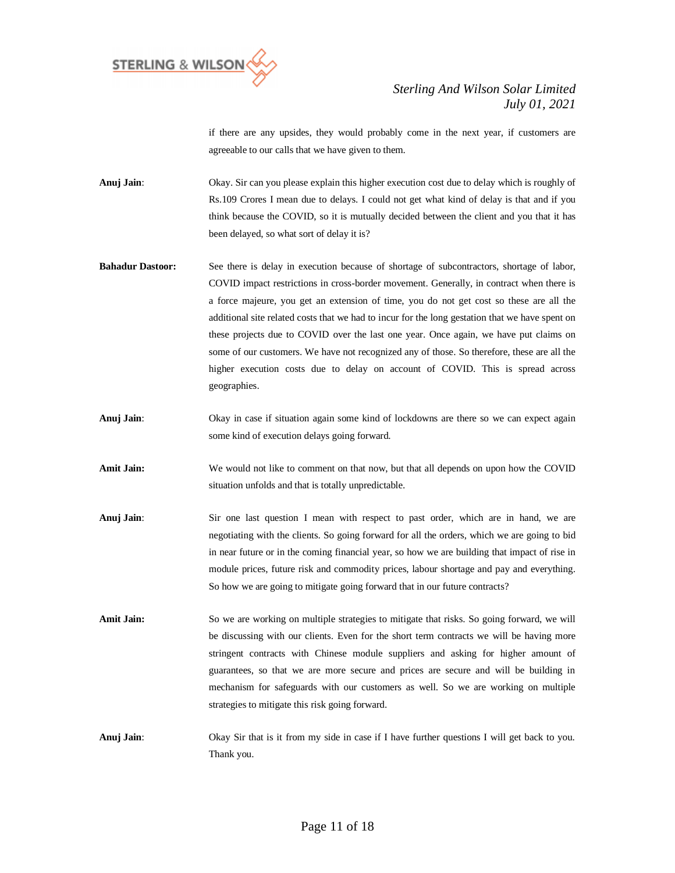

if there are any upsides, they would probably come in the next year, if customers are agreeable to our calls that we have given to them.

**Anuj Jain**: Okay. Sir can you please explain this higher execution cost due to delay which is roughly of Rs.109 Crores I mean due to delays. I could not get what kind of delay is that and if you think because the COVID, so it is mutually decided between the client and you that it has been delayed, so what sort of delay it is?

- **Bahadur Dastoor:** See there is delay in execution because of shortage of subcontractors, shortage of labor, COVID impact restrictions in cross-border movement. Generally, in contract when there is a force majeure, you get an extension of time, you do not get cost so these are all the additional site related costs that we had to incur for the long gestation that we have spent on these projects due to COVID over the last one year. Once again, we have put claims on some of our customers. We have not recognized any of those. So therefore, these are all the higher execution costs due to delay on account of COVID. This is spread across geographies.
- **Anuj Jain:** Okay in case if situation again some kind of lockdowns are there so we can expect again some kind of execution delays going forward.
- **Amit Jain:** We would not like to comment on that now, but that all depends on upon how the COVID situation unfolds and that is totally unpredictable.
- **Anuj Jain**: Sir one last question I mean with respect to past order, which are in hand, we are negotiating with the clients. So going forward for all the orders, which we are going to bid in near future or in the coming financial year, so how we are building that impact of rise in module prices, future risk and commodity prices, labour shortage and pay and everything. So how we are going to mitigate going forward that in our future contracts?
- Amit Jain: So we are working on multiple strategies to mitigate that risks. So going forward, we will be discussing with our clients. Even for the short term contracts we will be having more stringent contracts with Chinese module suppliers and asking for higher amount of guarantees, so that we are more secure and prices are secure and will be building in mechanism for safeguards with our customers as well. So we are working on multiple strategies to mitigate this risk going forward.
- **Anuj Jain**: Okay Sir that is it from my side in case if I have further questions I will get back to you. Thank you.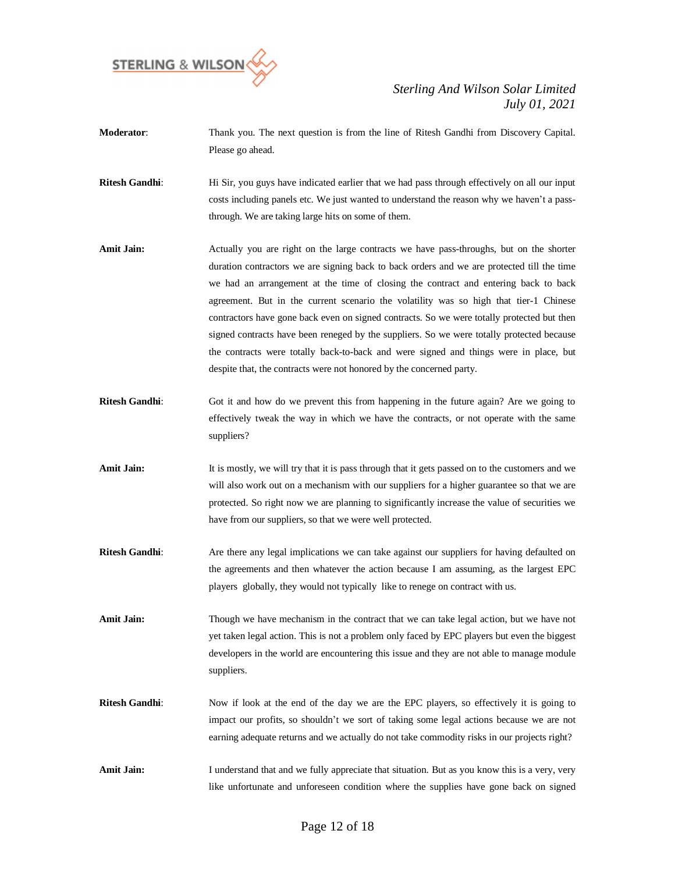

- **Moderator**: Thank you. The next question is from the line of Ritesh Gandhi from Discovery Capital. Please go ahead.
- **Ritesh Gandhi**: Hi Sir, you guys have indicated earlier that we had pass through effectively on all our input costs including panels etc. We just wanted to understand the reason why we haven't a passthrough. We are taking large hits on some of them.
- **Amit Jain:** Actually you are right on the large contracts we have pass-throughs, but on the shorter duration contractors we are signing back to back orders and we are protected till the time we had an arrangement at the time of closing the contract and entering back to back agreement. But in the current scenario the volatility was so high that tier-1 Chinese contractors have gone back even on signed contracts. So we were totally protected but then signed contracts have been reneged by the suppliers. So we were totally protected because the contracts were totally back-to-back and were signed and things were in place, but despite that, the contracts were not honored by the concerned party.
- **Ritesh Gandhi:** Got it and how do we prevent this from happening in the future again? Are we going to effectively tweak the way in which we have the contracts, or not operate with the same suppliers?
- Amit Jain: It is mostly, we will try that it is pass through that it gets passed on to the customers and we will also work out on a mechanism with our suppliers for a higher guarantee so that we are protected. So right now we are planning to significantly increase the value of securities we have from our suppliers, so that we were well protected.
- **Ritesh Gandhi**: Are there any legal implications we can take against our suppliers for having defaulted on the agreements and then whatever the action because I am assuming, as the largest EPC players globally, they would not typically like to renege on contract with us.
- **Amit Jain:** Though we have mechanism in the contract that we can take legal action, but we have not yet taken legal action. This is not a problem only faced by EPC players but even the biggest developers in the world are encountering this issue and they are not able to manage module suppliers.
- **Ritesh Gandhi:** Now if look at the end of the day we are the EPC players, so effectively it is going to impact our profits, so shouldn't we sort of taking some legal actions because we are not earning adequate returns and we actually do not take commodity risks in our projects right?
- Amit Jain: I understand that and we fully appreciate that situation. But as you know this is a very, very like unfortunate and unforeseen condition where the supplies have gone back on signed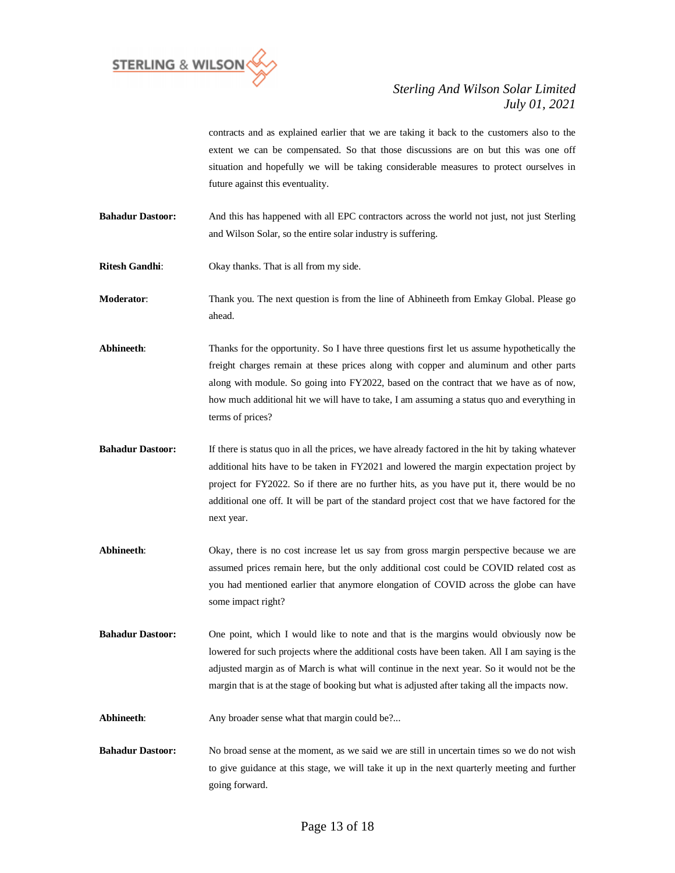

contracts and as explained earlier that we are taking it back to the customers also to the extent we can be compensated. So that those discussions are on but this was one off situation and hopefully we will be taking considerable measures to protect ourselves in future against this eventuality.

**Bahadur Dastoor:** And this has happened with all EPC contractors across the world not just, not just Sterling and Wilson Solar, so the entire solar industry is suffering.

**Ritesh Gandhi**: Okay thanks. That is all from my side.

**Moderator**: Thank you. The next question is from the line of Abhineeth from Emkay Global. Please go ahead.

**Abhineeth**: Thanks for the opportunity. So I have three questions first let us assume hypothetically the freight charges remain at these prices along with copper and aluminum and other parts along with module. So going into FY2022, based on the contract that we have as of now, how much additional hit we will have to take, I am assuming a status quo and everything in terms of prices?

- **Bahadur Dastoor:** If there is status quo in all the prices, we have already factored in the hit by taking whatever additional hits have to be taken in FY2021 and lowered the margin expectation project by project for FY2022. So if there are no further hits, as you have put it, there would be no additional one off. It will be part of the standard project cost that we have factored for the next year.
- Abhineeth: Okay, there is no cost increase let us say from gross margin perspective because we are assumed prices remain here, but the only additional cost could be COVID related cost as you had mentioned earlier that anymore elongation of COVID across the globe can have some impact right?
- **Bahadur Dastoor:** One point, which I would like to note and that is the margins would obviously now be lowered for such projects where the additional costs have been taken. All I am saying is the adjusted margin as of March is what will continue in the next year. So it would not be the margin that is at the stage of booking but what is adjusted after taking all the impacts now.

Abhineeth: Any broader sense what that margin could be?...

**Bahadur Dastoor:** No broad sense at the moment, as we said we are still in uncertain times so we do not wish to give guidance at this stage, we will take it up in the next quarterly meeting and further going forward.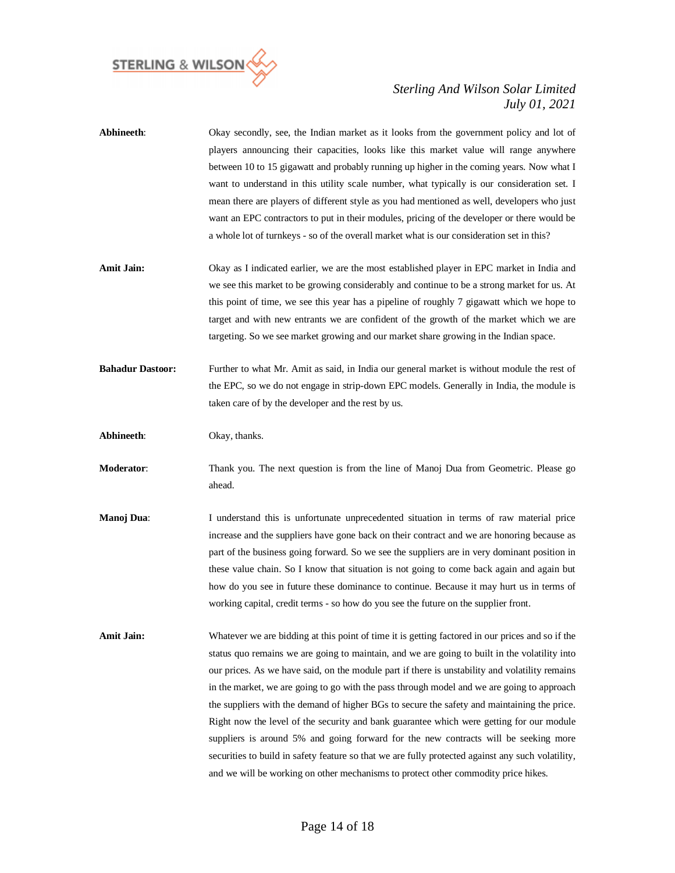

| Abhineeth:              | Okay secondly, see, the Indian market as it looks from the government policy and lot of<br>players announcing their capacities, looks like this market value will range anywhere<br>between 10 to 15 gigawatt and probably running up higher in the coming years. Now what I<br>want to understand in this utility scale number, what typically is our consideration set. I<br>mean there are players of different style as you had mentioned as well, developers who just<br>want an EPC contractors to put in their modules, pricing of the developer or there would be<br>a whole lot of turnkeys - so of the overall market what is our consideration set in this?                                                                                                                                                                                                         |
|-------------------------|--------------------------------------------------------------------------------------------------------------------------------------------------------------------------------------------------------------------------------------------------------------------------------------------------------------------------------------------------------------------------------------------------------------------------------------------------------------------------------------------------------------------------------------------------------------------------------------------------------------------------------------------------------------------------------------------------------------------------------------------------------------------------------------------------------------------------------------------------------------------------------|
| Amit Jain:              | Okay as I indicated earlier, we are the most established player in EPC market in India and<br>we see this market to be growing considerably and continue to be a strong market for us. At<br>this point of time, we see this year has a pipeline of roughly 7 gigawatt which we hope to<br>target and with new entrants we are confident of the growth of the market which we are<br>targeting. So we see market growing and our market share growing in the Indian space.                                                                                                                                                                                                                                                                                                                                                                                                     |
| <b>Bahadur Dastoor:</b> | Further to what Mr. Amit as said, in India our general market is without module the rest of<br>the EPC, so we do not engage in strip-down EPC models. Generally in India, the module is<br>taken care of by the developer and the rest by us.                                                                                                                                                                                                                                                                                                                                                                                                                                                                                                                                                                                                                                  |
| Abhineeth:              | Okay, thanks.                                                                                                                                                                                                                                                                                                                                                                                                                                                                                                                                                                                                                                                                                                                                                                                                                                                                  |
| Moderator:              | Thank you. The next question is from the line of Manoj Dua from Geometric. Please go<br>ahead.                                                                                                                                                                                                                                                                                                                                                                                                                                                                                                                                                                                                                                                                                                                                                                                 |
| Manoj Dua:              | I understand this is unfortunate unprecedented situation in terms of raw material price<br>increase and the suppliers have gone back on their contract and we are honoring because as<br>part of the business going forward. So we see the suppliers are in very dominant position in<br>these value chain. So I know that situation is not going to come back again and again but<br>how do you see in future these dominance to continue. Because it may hurt us in terms of<br>working capital, credit terms - so how do you see the future on the supplier front.                                                                                                                                                                                                                                                                                                          |
| Amit Jain:              | Whatever we are bidding at this point of time it is getting factored in our prices and so if the<br>status quo remains we are going to maintain, and we are going to built in the volatility into<br>our prices. As we have said, on the module part if there is unstability and volatility remains<br>in the market, we are going to go with the pass through model and we are going to approach<br>the suppliers with the demand of higher BGs to secure the safety and maintaining the price.<br>Right now the level of the security and bank guarantee which were getting for our module<br>suppliers is around 5% and going forward for the new contracts will be seeking more<br>securities to build in safety feature so that we are fully protected against any such volatility,<br>and we will be working on other mechanisms to protect other commodity price hikes. |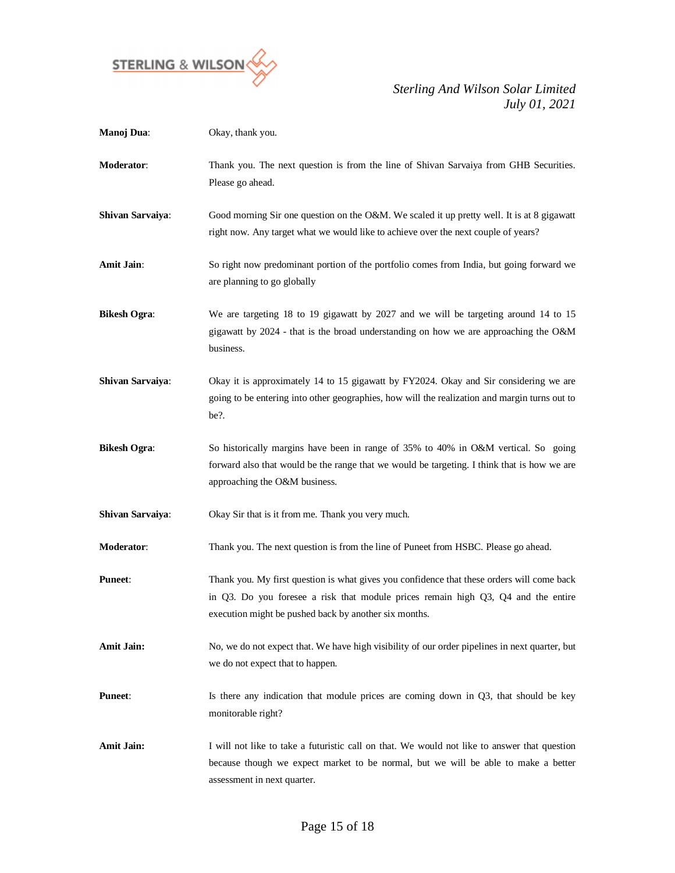

| Manoj Dua:          | Okay, thank you.                                                                                                                                                                                                                         |
|---------------------|------------------------------------------------------------------------------------------------------------------------------------------------------------------------------------------------------------------------------------------|
| <b>Moderator:</b>   | Thank you. The next question is from the line of Shivan Sarvaiya from GHB Securities.<br>Please go ahead.                                                                                                                                |
| Shivan Sarvaiya:    | Good morning Sir one question on the O&M. We scaled it up pretty well. It is at 8 gigawatt<br>right now. Any target what we would like to achieve over the next couple of years?                                                         |
| Amit Jain:          | So right now predominant portion of the portfolio comes from India, but going forward we<br>are planning to go globally                                                                                                                  |
| <b>Bikesh Ogra:</b> | We are targeting 18 to 19 gigawatt by 2027 and we will be targeting around 14 to 15<br>gigawatt by 2024 - that is the broad understanding on how we are approaching the O&M<br>business.                                                 |
| Shivan Sarvaiya:    | Okay it is approximately 14 to 15 gigawatt by FY2024. Okay and Sir considering we are<br>going to be entering into other geographies, how will the realization and margin turns out to<br>be?.                                           |
| <b>Bikesh Ogra:</b> | So historically margins have been in range of 35% to 40% in O&M vertical. So going<br>forward also that would be the range that we would be targeting. I think that is how we are<br>approaching the O&M business.                       |
| Shivan Sarvaiya:    | Okay Sir that is it from me. Thank you very much.                                                                                                                                                                                        |
| Moderator:          | Thank you. The next question is from the line of Puneet from HSBC. Please go ahead.                                                                                                                                                      |
| <b>Puneet:</b>      | Thank you. My first question is what gives you confidence that these orders will come back<br>in Q3. Do you foresee a risk that module prices remain high Q3, Q4 and the entire<br>execution might be pushed back by another six months. |
| <b>Amit Jain:</b>   | No, we do not expect that. We have high visibility of our order pipelines in next quarter, but<br>we do not expect that to happen.                                                                                                       |
| <b>Puneet:</b>      | Is there any indication that module prices are coming down in Q3, that should be key<br>monitorable right?                                                                                                                               |
| <b>Amit Jain:</b>   | I will not like to take a futuristic call on that. We would not like to answer that question<br>because though we expect market to be normal, but we will be able to make a better<br>assessment in next quarter.                        |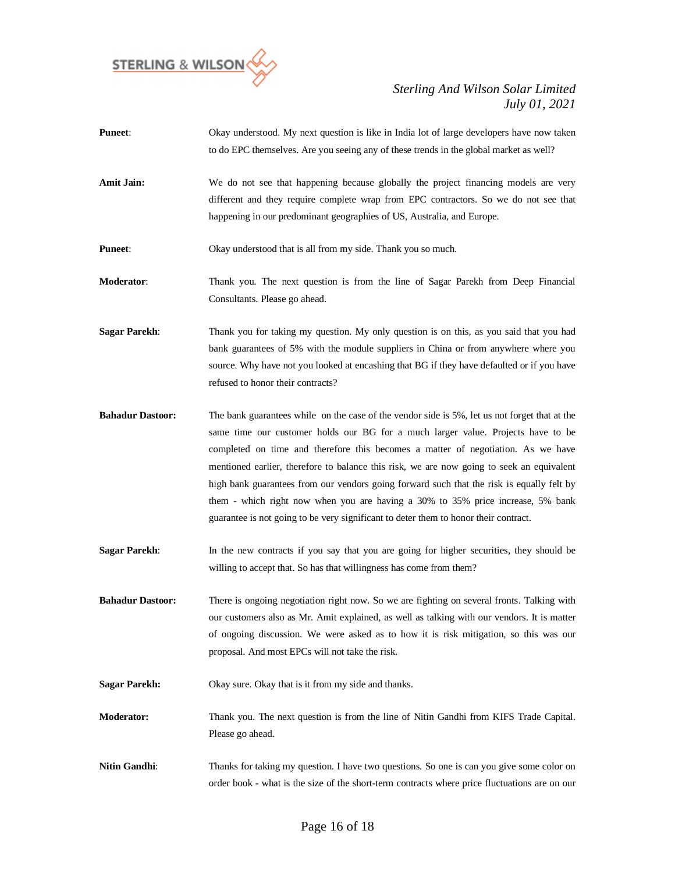

- **Puneet**: Okay understood. My next question is like in India lot of large developers have now taken to do EPC themselves. Are you seeing any of these trends in the global market as well?
- Amit Jain: We do not see that happening because globally the project financing models are very different and they require complete wrap from EPC contractors. So we do not see that happening in our predominant geographies of US, Australia, and Europe.
- **Puneet:** Okay understood that is all from my side. Thank you so much.
- **Moderator**: Thank you. The next question is from the line of Sagar Parekh from Deep Financial Consultants. Please go ahead.
- **Sagar Parekh:** Thank you for taking my question. My only question is on this, as you said that you had bank guarantees of 5% with the module suppliers in China or from anywhere where you source. Why have not you looked at encashing that BG if they have defaulted or if you have refused to honor their contracts?
- **Bahadur Dastoor:** The bank guarantees while on the case of the vendor side is 5%, let us not forget that at the same time our customer holds our BG for a much larger value. Projects have to be completed on time and therefore this becomes a matter of negotiation. As we have mentioned earlier, therefore to balance this risk, we are now going to seek an equivalent high bank guarantees from our vendors going forward such that the risk is equally felt by them - which right now when you are having a 30% to 35% price increase, 5% bank guarantee is not going to be very significant to deter them to honor their contract.
- **Sagar Parekh:** In the new contracts if you say that you are going for higher securities, they should be willing to accept that. So has that willingness has come from them?
- **Bahadur Dastoor:** There is ongoing negotiation right now. So we are fighting on several fronts. Talking with our customers also as Mr. Amit explained, as well as talking with our vendors. It is matter of ongoing discussion. We were asked as to how it is risk mitigation, so this was our proposal. And most EPCs will not take the risk.
- **Sagar Parekh:** Okay sure. Okay that is it from my side and thanks.
- **Moderator:** Thank you. The next question is from the line of Nitin Gandhi from KIFS Trade Capital. Please go ahead.
- **Nitin Gandhi:** Thanks for taking my question. I have two questions. So one is can you give some color on order book - what is the size of the short-term contracts where price fluctuations are on our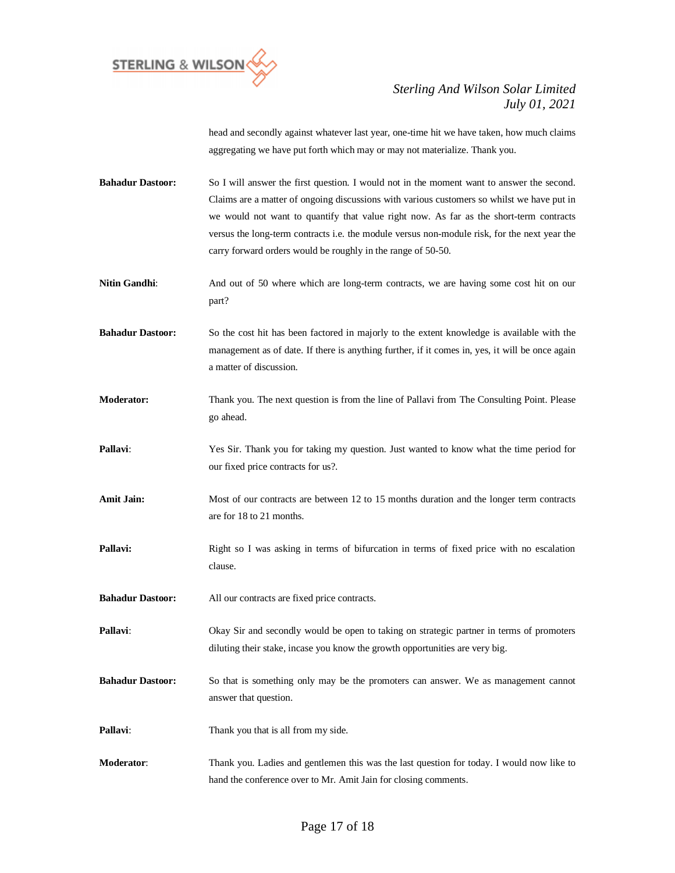

head and secondly against whatever last year, one-time hit we have taken, how much claims aggregating we have put forth which may or may not materialize. Thank you.

- **Bahadur Dastoor:** So I will answer the first question. I would not in the moment want to answer the second. Claims are a matter of ongoing discussions with various customers so whilst we have put in we would not want to quantify that value right now. As far as the short-term contracts versus the long-term contracts i.e. the module versus non-module risk, for the next year the carry forward orders would be roughly in the range of 50-50.
- **Nitin Gandhi**: And out of 50 where which are long-term contracts, we are having some cost hit on our part?
- **Bahadur Dastoor:** So the cost hit has been factored in majorly to the extent knowledge is available with the management as of date. If there is anything further, if it comes in, yes, it will be once again a matter of discussion.
- **Moderator:** Thank you. The next question is from the line of Pallavi from The Consulting Point. Please go ahead.
- **Pallavi**: Yes Sir. Thank you for taking my question. Just wanted to know what the time period for our fixed price contracts for us?.
- **Amit Jain:** Most of our contracts are between 12 to 15 months duration and the longer term contracts are for 18 to 21 months.
- **Pallavi:** Right so I was asking in terms of bifurcation in terms of fixed price with no escalation clause.
- **Bahadur Dastoor:** All our contracts are fixed price contracts.
- **Pallavi:** Okay Sir and secondly would be open to taking on strategic partner in terms of promoters diluting their stake, incase you know the growth opportunities are very big.
- **Bahadur Dastoor:** So that is something only may be the promoters can answer. We as management cannot answer that question.
- **Pallavi:** Thank you that is all from my side.
- **Moderator**: Thank you. Ladies and gentlemen this was the last question for today. I would now like to hand the conference over to Mr. Amit Jain for closing comments.